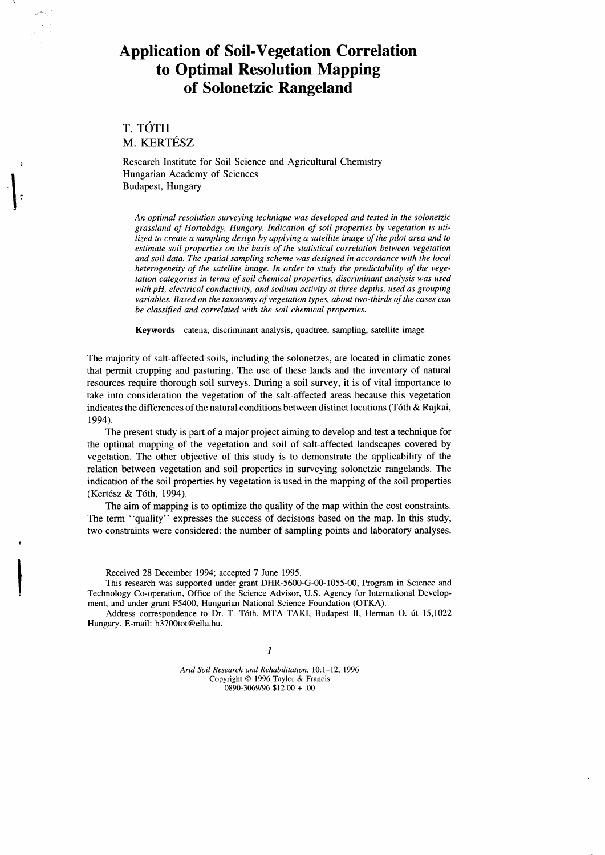# Application of Soil-Vegetation Correlation to Optimal Resolution Mapping of Solonetzic Rangeland

## r. r6rH M. KERrEsz

 $\mathbf{l}$  . I

Research Institute for Soil Science and Agricultural Chemistry Hungarian Academy of Sciences Budapest, Hungary

An optimal resolution surveying technique was developed and tested in the solonetzic grassland of Hortobdgy, Hungary. Indication of soil properties by vegetation is utilized to create a sampling design by applying a satellite image of the pilot area and to estimate soil properties on the basis of the statistical correlation between vegetation and soil data. The spatial sampling scheme was designed in accordance with the local heterogeneity of the satellite image, In order to study the predictability of the vegetation categories in terms of soil chemical properties, discriminant analysis was used with pH, electrical conductivity, and sodium activity at three depths, used as grouping variables. Based on the taxonomy of vegetation types, about two-thirds of the cases can be classified and correlated with the soil chemical properties.

Keywords catena, discriminant analysis, quadtree, sampling, satellite image

The majority of salt-affected soils, including the solonetzes, are located in climatic zones that permit cropping and pasturing. The use of these lands and the inventory of natural resources require thorough soil surveys. During a soil survey, it is of vital importance to take into consideration the vegetation of the salt-affected areas because this vegetation indicates the differences of the natural conditions between distinct locations (T6th & Rajkai, 1994).

The present study is part of a major project aiming to develop and test a technique for the optimal mapping of the vegetation and soil of salt-affected landscapes covered by vegetation. The other objective of this study is to demonstrate the applicability of the relation between vegetation and soil properties in surveying solonetzic rangelands. The indication of the soil properties by vegetation is used in the mapping of the soil properties (Kert6sz & T6th, 1994).

The aim of mapping is to optimize the quality of the map within the cost constraints. The term "quality" expresses the success of decisions based on the map. In this study, two constraints were considered: the number of sampling points and laboratory analyses.

Received 28 December 1994; accepted 7 June 1995.

This research was supported under grant DHR-5600-G-00-1055-00, Program in Science and Technology Co-operation, Office of the Science Advisor, U.S. Agency for International Development, and under grant F5400, Hungarian National Science Foundation (OTKA).

Address correspondence to Dr. T. Tóth, MTA TAKI, Budapest II, Herman O. út 15,1022 Hungary. E-mail: h3700tot@ella.hu.

I

Arid Soil Research and Rehabilitation, 10:1-12,1996 Copyright © 1996 Taylor & Francis 0890-3069/96 \$12.00 + .00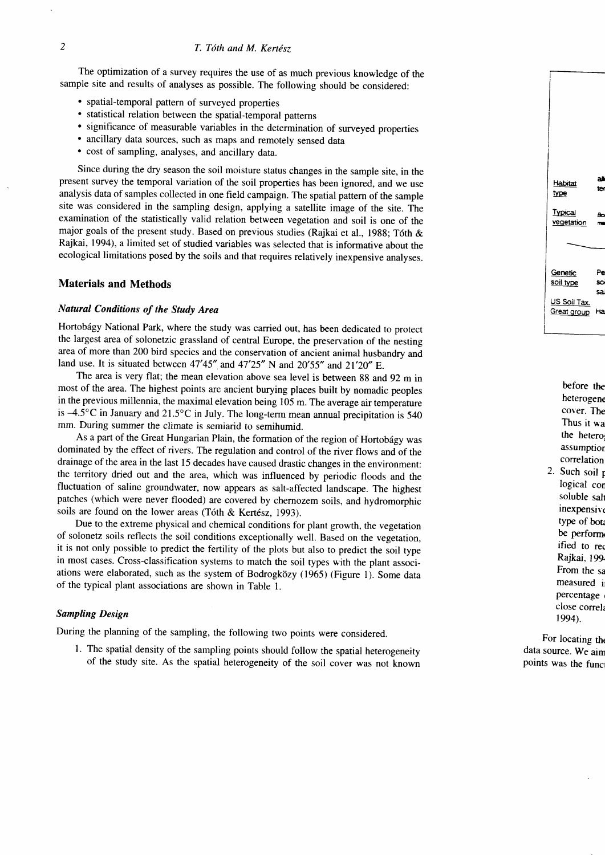The optimization of a survey requires the use of as much previous knowledge of the sample site and results of analyses as possible. The following should be considered:

- . spatial-temporal pattern of surveyed properties
- ' statistical relation between the spatial-temporal patterns
- ' significance of measurable variables in the determination of surveyed properties
- ' ancillary data sources, such as maps and remotely sensed data
- . cost of sampling, analyses, and ancillary data.

Since during the dry season the soil moisture status changes in the sample site, in the present survey the temporal variation of the soil properties has been ignored, and we use analysis data of samples collected in one field campaign. The spatial pattern of the sample site was considered in the sampling design, applying a satellite image of the site. The examination of the statistically valid relation between vegetation and soil is one of the major goals of the present study. Based on previous studies (Rajkai et al., 1988; Tóth & Rajkai, 1994), a limited set of studied variables was selected that is informative about the ecological limitations posed by the soils and that requires relatively inexpensive analyses.

#### Materials and Methods

#### Natural Conditions of the Study Area

Hortobágy National Park, where the study was carried out, has been dedicated to protect the largest area of solonetzic grassland of central Europe, the preservation of the nesting area of more than 200 bird species and the conservation of ancient animal husbandry and land use. It is situated between  $47'45''$  and  $47'25''$  N and  $20'55''$  and  $21'20''$  E.

The area is very flat; the mean elevation above sea level is between 88 and 92 m in most of the area. The highest points are ancient burying places built by nomadic peoples in the previous millennia, the maximal elevation being 105 m. The average air temperature is  $-4.5^{\circ}$ C in January and 21.5°C in July. The long-term mean annual precipitation is 540 mm. During summer the climate is semiarid to semihumid.

As a part of the Great Hungarian Plain, the formation of the region of Hortobágy was dominated by the effect of rivers. The regulation and control of the river flows and of the drainage of the area in the last 15 decades have caused drastic changes in the environment: the territory dried out and the area, which was influenced by periodic floods and the fluctuation of saline groundwater, now appears as salt-affected landscape. The highest patches (which were never flooded) are covered by chernozem soils, and hydromorphic soils are found on the lower areas (Tóth & Kertész, 1993).

Due to the extreme physical and chemical conditions for plant growth, the vegetation of solonetz soils reflects the soil conditions exceptionally well. Based on the vegetation, it is not only possible to predict the fertility of the plots but also to predict the soil type in most cases. Cross-classification systems to match the soil types with the plant associations were elaborated, such as the system of Bodrogközy (1965) (Figure 1). Some data of the typical plant associations are shown in Table l.

#### Sampling Design

During the planning of the sampling, the following two points were considered.

l. The spatial density of the sampling points should follow the spatial heterogeneity of the study site. As the spatial heterogeneity of the soil cover was not known

| <b>Habitat</b><br><u>type</u><br><b>Typical</b><br>vegetation | a.<br>te<br>Ĥ.  |
|---------------------------------------------------------------|-----------------|
| Genetic<br>soil type                                          | Pe<br>SO.<br>sa |
| <u>US Soil Tax.</u><br>Great group                            | Ha              |

before the heterogene cover. The Thus it wa the hetero assumptior correlation

2. Such soil p Iogical cor soluble salt inexpensive type of bota be perform ified to rea Rajkai, 199. From the sa measured i percentage close correli 1994).

For locating the data source. We aim points was the func

 $\overline{2}$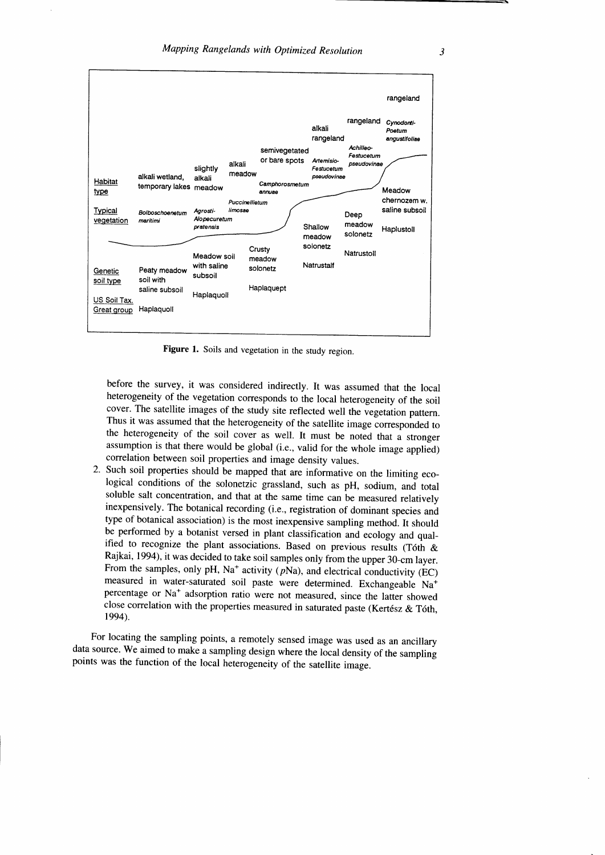

Figure 1. Soils and vegetation in the study region.

before the survey, it was considered indirectly. It was assumed that the local heterogeneity of the vegetation corresponds to the local heterogeneity of the soil cover. The satellite images of the study site reflected well the vegetation pattern. Thus it was assumed that the heterogeneity of the satellite image corresponded to the heterogeneity of the soil cover as well. It must be noted that a stronger assumption is that there would be global (i.e., valid for the whole image applied) correlation between soil properties and image density values.

2. Such soil properties should be mapped that are informative on the limiting ecological conditions of the solonetzic grassland, such as pH, sodium, and total soluble salt concentration, and that at the same time can be measured relatively inexpensively. The botanical recording (i.e., registration of dominant species and type of botanical association) is the most inexpensive sampling method. It should be performed by a botanist versed in plant classification and ecology and qualified to recognize the plant associations. Based on previous results (Tóth  $\&$ Rajkai, 1994), it was decided to take soil samples only from the upper 30-cm layer. From the samples, only pH,  $Na^+$  activity ( $pNa$ ), and electrical conductivity (EC) measured in water-saturated soil paste were determined. Exchangeable Na<sup>+</sup> percentage or Na<sup>+</sup> adsorption ratio were not measured, since the latter showed close correlation with the properties measured in saturated paste (Kertész & Tóth, 1994).

For locating the sampling points, a remotely sensed image was used as an ancillary data source. We aimed to make a sampling design where the local density of the sampling points was the function of the local heterogeneity of the satellite image.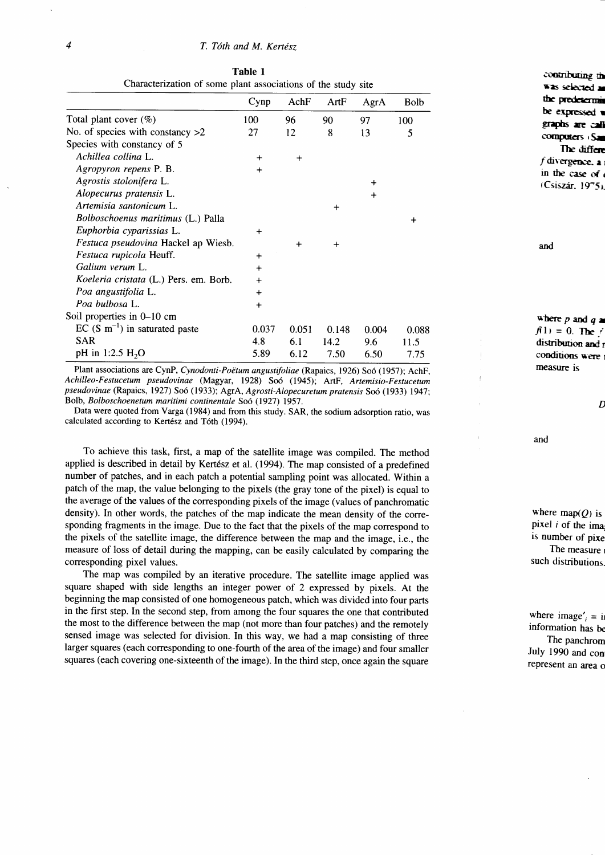| Characterization of some plant associations of the study site |           |           |           |           |             |
|---------------------------------------------------------------|-----------|-----------|-----------|-----------|-------------|
|                                                               | Cyp       | AchF      | ArtF      | AgrA      | <b>Bolb</b> |
| Total plant cover $(\%)$                                      | 100       | 96        | 90        | 97        | 100         |
| No. of species with constancy $>2$                            | 27        | 12        | 8         | 13        | 5           |
| Species with constancy of 5                                   |           |           |           |           |             |
| Achillea collina L.                                           | $\ddot{}$ | $\div$    |           |           |             |
| Agropyron repens P. B.                                        | $\ddot{}$ |           |           |           |             |
| Agrostis stolonifera L.                                       |           |           |           | $\ddot{}$ |             |
| Alopecurus pratensis L.                                       |           |           |           | $\ddot{}$ |             |
| Artemisia santonicum L.                                       |           |           | $\ddot{}$ |           |             |
| Bolboschoenus maritimus (L.) Palla                            |           |           |           |           | $\ddot{}$   |
| Euphorbia cyparissias L.                                      | $\div$    |           |           |           |             |
| Festuca pseudovina Hackel ap Wiesb.                           |           | $\ddot{}$ | $\ddot{}$ |           |             |
| Festuca rupicola Heuff.                                       | $\ddot{}$ |           |           |           |             |
| Galium verum L.                                               | $\ddot{}$ |           |           |           |             |
| Koeleria cristata (L.) Pers. em. Borb.                        | $\ddot{}$ |           |           |           |             |
| Poa angustifolia L.                                           | $\ddot{}$ |           |           |           |             |
| Poa bulbosa L.                                                | $\ddot{}$ |           |           |           |             |
| Soil properties in $0-10$ cm                                  |           |           |           |           |             |
| $EC(S \, m^{-1})$ in saturated paste                          | 0.037     | 0.051     | 0.148     | 0.004     | 0.088       |
| <b>SAR</b>                                                    | 4.8       | 6.1       | 14.2      | 9.6       | 11.5        |
| pH in 1:2.5 $H_2O$                                            | 5.89      | 6.12      | 7.50      | 6.50      | 7.75        |

Table 1 Characterization of course plant associations of the study sit

Plant associations are CynP, Cynodonti-Poëtum angustifoliae (Rapaics, 1926) Soó (1957); AchF, Achilleo-Festucetum pseudovinae (Magyar, 1928) Soó (1945); ArtF, Artemisio-Festucetum pseudovinae (Rapaics, 1927) Soó (1933); AgrA, Agrosti-Alopecuretum pratensis Soó (1933) 1947; Bolb, Bolboschoenetum maritimi continentale Soó (1927) 1957.

Data were quoted from Varga (1984) and from this study. SAR, the sodium adsorption ratio, was calculated according to Kertész and Tóth (1994).

To achieve this task, first, a map of the satellite image was compiled. The method applied is described in detail by Kertész et al. (1994). The map consisted of a predefined number of patches, and in each patch a potential sampling point was allocated. Within a patch of the map, the value belonging to the pixels (the gray tone of the pixel) is equal to the average of the values of the corresponding pixels of the image (values of panchromatic density). In other words, the patches of the map indicate the mean density of the corresponding fragments in the image. Due to the fact that the pixels of the map correspond to the pixels of the satellite image, the difference between the map and the image, i.e., the measure of loss of detail during the mapping, can be easily calculated by comparing the corresponding pixel values.

The map was compiled by an iterative procedure. The satellite image applied was square shaped with side lengths an integer power of 2 expressed by pixels. At the beginning the map consisted of one homogeneous patch, which was divided into four parts in the first step. In the second step, from among the four squares the one that contributed the most to the difference between the map (not more than four patches) and the remotely sensed image was selected for division. In this way, we had a map consisting of three larger squares (each corresponding to one-fourth of the area of the image) and four smaller squares (each covering one-sixteenth of the image). In the third step, once again the square

contributing th W26 selected as the predetermin be expressed w graphs are call computers (San The differe  $f$  divergence,  $a$ in the case of (Csiszár, 1975).

and

where  $p$  and  $q$  as  $f(1) = 0$ . The *i* distribution and a conditions were measure is

 $\boldsymbol{L}$ 

and

where map( $Q$ ) is pixel  $i$  of the ima is number of pixe The measure such distributions.

where image'<sub>i</sub> = i information has be The panchrom July 1990 and con represent an area c

 $\overline{4}$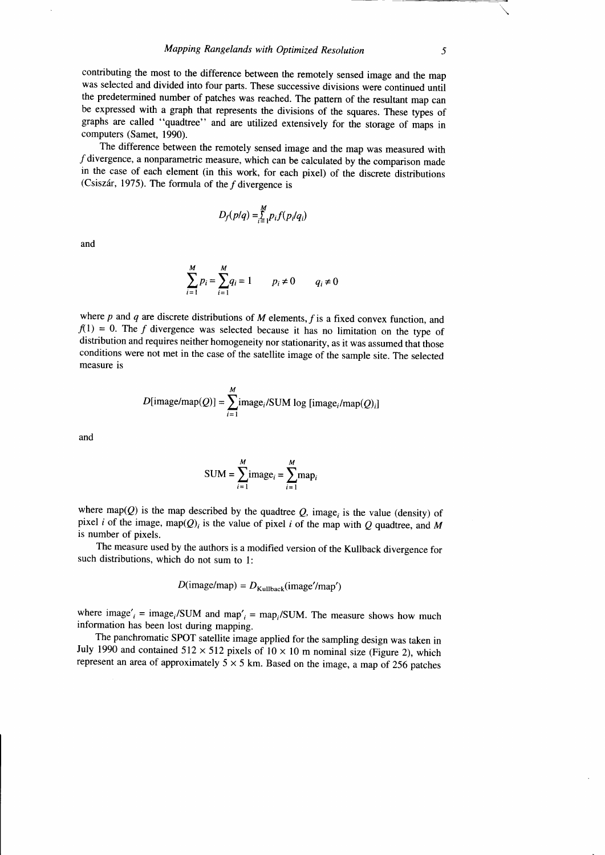contributing the most to the difference between the remotely sensed image and the map was selected and divided into four parts. These successive divisions were continued until the predetermined number of patches was reached. The pattern of the resultant map can be expressed with a graph that represents the divisions of the squares. These types of graphs are called "quadtree" and are utilized extensively for the storage of maps in computers (Samet, 1990).

The difference between the remotely sensed image and the map was measured with  $f$  divergence, a nonparametric measure, which can be calculated by the comparison made in the case of each element (in this work, for each pixel) of the discrete distributions (Csiszár, 1975). The formula of the  $f$  divergence is

$$
D_f(p/q) = \sum_{i=1}^M p_i f(p_i/q_i)
$$

and

$$
\sum_{i=1}^{M} p_i = \sum_{i=1}^{M} q_i = 1 \qquad p_i \neq 0 \qquad q_i \neq 0
$$

where p and q are discrete distributions of M elements, f is a fixed convex function, and  $f(1) = 0$ . The *f* divergence was selected because it has no limitation on the type of distribution and requires neither homogeneity nor stationarity, as it was assumed that those conditions were not met in the case of the satellite image of the sample site. The selected measure is

$$
D[\text{image}/\text{map}(Q)] = \sum_{i=1}^{M} \text{image}_i / \text{SUM} \log[\text{image}_i / \text{map}(Q)_i]
$$

and

$$
SUM = \sum_{i=1}^{M} image_i = \sum_{i=1}^{M} map_i
$$

where map(Q) is the map described by the quadtree Q, image, is the value (density) of pixel *i* of the image, map( $Q$ )<sub>i</sub> is the value of pixel *i* of the map with Q quadtree, and M is number of pixels.

The measure used by the authors is a modified version of the Kullback divergence for such distributions, which do not sum to l:

$$
D(\text{image}/\text{map}) = D_{\text{Kullback}}(\text{image}/\text{map}')
$$

where image'<sub>i</sub> = image<sub>i</sub>/SUM and map'<sub>i</sub> = map<sub>i</sub>/SUM. The measure shows how much information has been lost during mapping.

The panchromatic SPOT satellite image applied for the sampling design was taken in July 1990 and contained  $512 \times 512$  pixels of  $10 \times 10$  m nominal size (Figure 2), which represent an area of approximately  $5 \times 5$  km. Based on the image, a map of 256 patches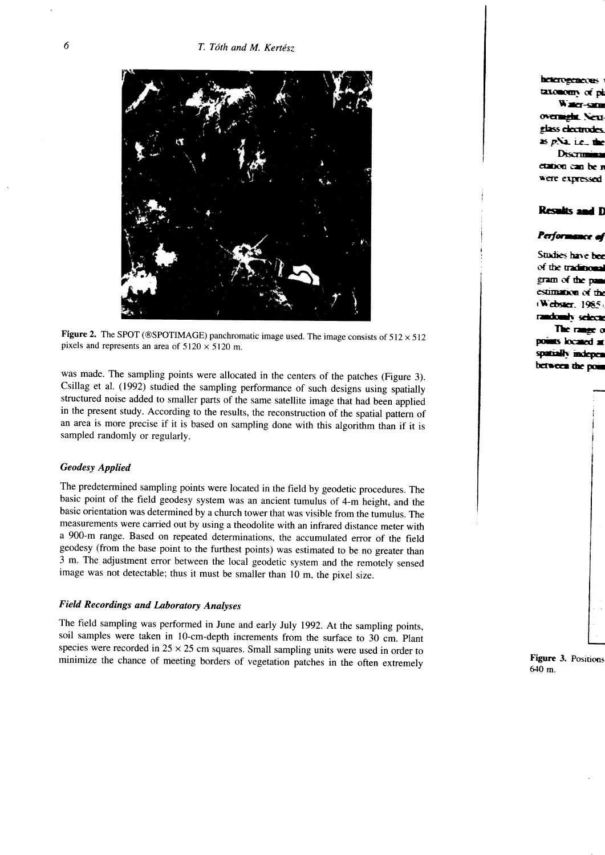

Figure 2. The SPOT (@SPOTIMAGE) panchromatic image used. The image consists of  $512 \times 512$ pixels and represents an area of  $5120 \times 5120$  m.

was made. The sampling points were allocated in the centers of the patches (Figure 3). Csillag et al. (1992) studied the sampling performance of such designs using spatially structured noise added to smaller parts of the same satellite image that had been applied in the present study. According to the results, the reconstruction of the spatial pattern of an area is more precise if it is based on sampling done with this algorithm than if it is sampled randomly or regularly.

#### Geodesy Applied

The predetermined sampling points were located in the field by geodetic procedures. The basic point of the field geodesy system was an ancient tumulus of 4-m height, and the basic orientation was determined by a church tower that was visible from the tumulus. The measurements were carried out by using a theodolite with an infrared distance meter with a 900-m range. Based on repeated determinations, the accumulated error of the field geodesy (from the base point to the furthest points) was estimated to be no greater than 3 m. The adjustment error between the local geodetic system and the remotely sensed image was not detectable; thus it must be smaller than 10 m, the pixel size.

## Field Recordings and Laboratory Analyses

The field sampling was performed in June and early July 1992. At the sampling points, soil samples were taken in l0-cm-depth increments from the surface to 30 cm. Plant species were recorded in  $25 \times 25$  cm squares. Small sampling units were used in order to minimize the chance of meeting borders of vegetation patches in the often extremely

heterogeneous taxonomy of pl  $\mathbf{v}$ arr ovenielia New stass electrodes  $25P$ Ne i $e^-$ Discrim cEntricon com he n

#### Results a

were expressed

#### Perform

Studies have bee of the traditional gram of the par estimation of the  $tW$ ebster. 1985. rty c<del>alars</del>

The  $\bm{\sigma}$  $\bm{s}$  located a spatially indepen between the poi



Figure 3. Positions 61O m.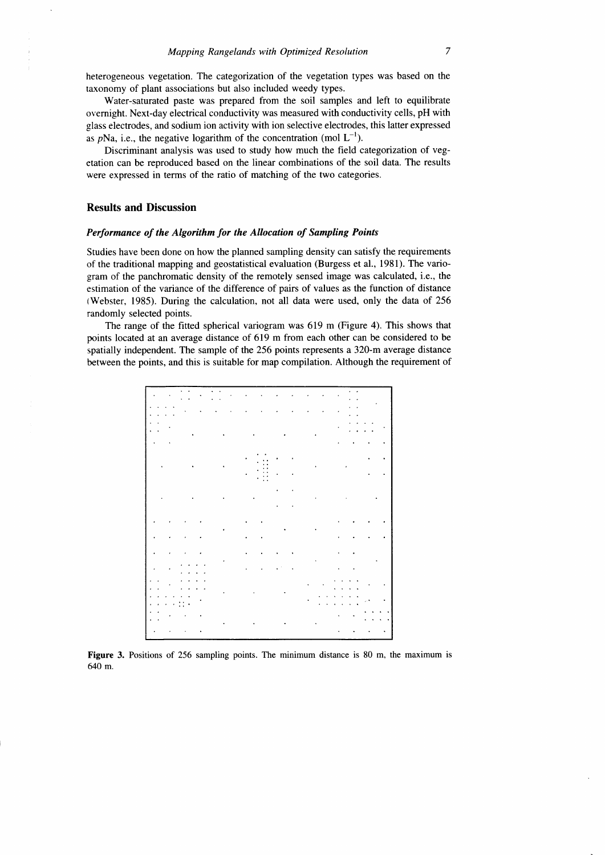heterogeneous vegetation. The categorization of the vegetation types was based on the taxonomy of plant associations but also included weedy types.

Water-saturated paste was prepared from the soil samples and left to equilibrate overnight. Next-day electrical conductivity was measured with conductivity cells, pH with glass electrodes, and sodium ion activity with ion selective electrodes, this latter expressed as  $p\text{Na}$ , i.e., the negative logarithm of the concentration (mol  $L^{-1}$ ).

Discriminant analysis was used to study how much the field categorization of vegetation can be reproduced based on the linear combinations of the soil data. The results were expressed in terms of the ratio of matching of the two categories.

#### Results and Discussion

#### Performance of the Algorithm for the Allocation of Sampling Points

Studies have been done on how the planned sampling density can satisfy the requirements of the traditional mapping and geostatistical evaluation (Burgess et al., 1981). The variogram of the panchromatic density of the remotely sensed image was calculated, i.e., the estimation of the variance of the difference of pairs of values as the function of distance (Webster, 1985). During the calculation, not all data were used, only the data of 256 randomly selected points.

The range of the fitted spherical variogram was 619 m (Figure 4). This shows that points located at an average distance of 619 m from each other can be considered to be spatially independent. The sample of the 256 points represents a 320-m average distance between the points, and this is suitable for map compilation. Although the requirement of

|               | ana II a II ama ama ama an II<br>I II ama ama ama ama ama an II                                                                                                                                                                                                                                                                                                                                                                                           |  |                                                                                                                                              |                                                                                                                                                                                                                                                                                                                                                                                                  |                                                                                                                                                             |                     |
|---------------|-----------------------------------------------------------------------------------------------------------------------------------------------------------------------------------------------------------------------------------------------------------------------------------------------------------------------------------------------------------------------------------------------------------------------------------------------------------|--|----------------------------------------------------------------------------------------------------------------------------------------------|--------------------------------------------------------------------------------------------------------------------------------------------------------------------------------------------------------------------------------------------------------------------------------------------------------------------------------------------------------------------------------------------------|-------------------------------------------------------------------------------------------------------------------------------------------------------------|---------------------|
|               |                                                                                                                                                                                                                                                                                                                                                                                                                                                           |  |                                                                                                                                              |                                                                                                                                                                                                                                                                                                                                                                                                  |                                                                                                                                                             |                     |
|               |                                                                                                                                                                                                                                                                                                                                                                                                                                                           |  |                                                                                                                                              |                                                                                                                                                                                                                                                                                                                                                                                                  |                                                                                                                                                             |                     |
|               |                                                                                                                                                                                                                                                                                                                                                                                                                                                           |  |                                                                                                                                              |                                                                                                                                                                                                                                                                                                                                                                                                  |                                                                                                                                                             |                     |
|               |                                                                                                                                                                                                                                                                                                                                                                                                                                                           |  |                                                                                                                                              |                                                                                                                                                                                                                                                                                                                                                                                                  |                                                                                                                                                             |                     |
|               |                                                                                                                                                                                                                                                                                                                                                                                                                                                           |  |                                                                                                                                              |                                                                                                                                                                                                                                                                                                                                                                                                  |                                                                                                                                                             |                     |
|               |                                                                                                                                                                                                                                                                                                                                                                                                                                                           |  |                                                                                                                                              |                                                                                                                                                                                                                                                                                                                                                                                                  |                                                                                                                                                             |                     |
|               |                                                                                                                                                                                                                                                                                                                                                                                                                                                           |  |                                                                                                                                              |                                                                                                                                                                                                                                                                                                                                                                                                  |                                                                                                                                                             |                     |
|               |                                                                                                                                                                                                                                                                                                                                                                                                                                                           |  |                                                                                                                                              |                                                                                                                                                                                                                                                                                                                                                                                                  |                                                                                                                                                             |                     |
|               |                                                                                                                                                                                                                                                                                                                                                                                                                                                           |  |                                                                                                                                              |                                                                                                                                                                                                                                                                                                                                                                                                  |                                                                                                                                                             | $\hat{\mathcal{E}}$ |
|               |                                                                                                                                                                                                                                                                                                                                                                                                                                                           |  |                                                                                                                                              |                                                                                                                                                                                                                                                                                                                                                                                                  |                                                                                                                                                             |                     |
|               |                                                                                                                                                                                                                                                                                                                                                                                                                                                           |  |                                                                                                                                              |                                                                                                                                                                                                                                                                                                                                                                                                  |                                                                                                                                                             |                     |
|               |                                                                                                                                                                                                                                                                                                                                                                                                                                                           |  |                                                                                                                                              |                                                                                                                                                                                                                                                                                                                                                                                                  |                                                                                                                                                             |                     |
|               |                                                                                                                                                                                                                                                                                                                                                                                                                                                           |  |                                                                                                                                              |                                                                                                                                                                                                                                                                                                                                                                                                  |                                                                                                                                                             |                     |
|               |                                                                                                                                                                                                                                                                                                                                                                                                                                                           |  |                                                                                                                                              |                                                                                                                                                                                                                                                                                                                                                                                                  |                                                                                                                                                             |                     |
|               |                                                                                                                                                                                                                                                                                                                                                                                                                                                           |  |                                                                                                                                              |                                                                                                                                                                                                                                                                                                                                                                                                  |                                                                                                                                                             |                     |
|               | $\label{eq:2.1} \mathcal{L}_{\mathcal{A}}(x) = \mathcal{L}_{\mathcal{A}}(x) = \mathcal{L}_{\mathcal{A}}(x) = \frac{1}{2} \sum_{i=1}^n \mathcal{L}_{\mathcal{A}}(x) \mathcal{L}_{\mathcal{A}}(x) = \frac{1}{2} \sum_{i=1}^n \mathcal{L}_{\mathcal{A}}(x) \mathcal{L}_{\mathcal{A}}(x)$                                                                                                                                                                     |  |                                                                                                                                              |                                                                                                                                                                                                                                                                                                                                                                                                  |                                                                                                                                                             |                     |
|               |                                                                                                                                                                                                                                                                                                                                                                                                                                                           |  |                                                                                                                                              |                                                                                                                                                                                                                                                                                                                                                                                                  |                                                                                                                                                             |                     |
|               |                                                                                                                                                                                                                                                                                                                                                                                                                                                           |  |                                                                                                                                              |                                                                                                                                                                                                                                                                                                                                                                                                  |                                                                                                                                                             |                     |
|               |                                                                                                                                                                                                                                                                                                                                                                                                                                                           |  |                                                                                                                                              |                                                                                                                                                                                                                                                                                                                                                                                                  |                                                                                                                                                             |                     |
|               |                                                                                                                                                                                                                                                                                                                                                                                                                                                           |  |                                                                                                                                              |                                                                                                                                                                                                                                                                                                                                                                                                  |                                                                                                                                                             |                     |
|               |                                                                                                                                                                                                                                                                                                                                                                                                                                                           |  |                                                                                                                                              |                                                                                                                                                                                                                                                                                                                                                                                                  |                                                                                                                                                             |                     |
|               |                                                                                                                                                                                                                                                                                                                                                                                                                                                           |  |                                                                                                                                              |                                                                                                                                                                                                                                                                                                                                                                                                  |                                                                                                                                                             |                     |
|               |                                                                                                                                                                                                                                                                                                                                                                                                                                                           |  |                                                                                                                                              |                                                                                                                                                                                                                                                                                                                                                                                                  |                                                                                                                                                             |                     |
|               |                                                                                                                                                                                                                                                                                                                                                                                                                                                           |  |                                                                                                                                              |                                                                                                                                                                                                                                                                                                                                                                                                  |                                                                                                                                                             |                     |
|               | $\mathcal{L}(\mathcal{L}^{\mathcal{L}}(\mathcal{L}^{\mathcal{L}}(\mathcal{L}^{\mathcal{L}}(\mathcal{L}^{\mathcal{L}}(\mathcal{L}^{\mathcal{L}}(\mathcal{L}^{\mathcal{L}}(\mathcal{L}^{\mathcal{L}}(\mathcal{L}^{\mathcal{L}}(\mathcal{L}^{\mathcal{L}}(\mathcal{L}^{\mathcal{L}}(\mathcal{L}^{\mathcal{L}}(\mathcal{L}^{\mathcal{L}}(\mathcal{L}^{\mathcal{L}}(\mathcal{L}^{\mathcal{L}}(\mathcal{L}^{\mathcal{L}}(\mathcal{L}^{\mathcal{L}}(\mathcal{L}$ |  | $\mathcal{F}^{\text{c}}_{\text{c}}(\mathcal{F})$                                                                                             |                                                                                                                                                                                                                                                                                                                                                                                                  | $\mathcal{L}_{\mathcal{A}}$ and $\mathcal{L}_{\mathcal{A}}$ and $\mathcal{L}_{\mathcal{A}}$ and $\mathcal{L}_{\mathcal{A}}$ and $\mathcal{L}_{\mathcal{A}}$ |                     |
|               |                                                                                                                                                                                                                                                                                                                                                                                                                                                           |  |                                                                                                                                              |                                                                                                                                                                                                                                                                                                                                                                                                  |                                                                                                                                                             |                     |
| $\frac{1}{2}$ | $\frac{1}{2}$ , $\frac{1}{2}$ , $\frac{1}{2}$                                                                                                                                                                                                                                                                                                                                                                                                             |  | $\label{eq:1} \frac{1}{\sqrt{2}}\left(\frac{1}{\sqrt{2}}\right)^{2} \left(\frac{1}{\sqrt{2}}\right)^{2} \left(\frac{1}{\sqrt{2}}\right)^{2}$ |                                                                                                                                                                                                                                                                                                                                                                                                  |                                                                                                                                                             |                     |
|               |                                                                                                                                                                                                                                                                                                                                                                                                                                                           |  |                                                                                                                                              |                                                                                                                                                                                                                                                                                                                                                                                                  | $\mathcal{A}(\mathcal{A})$ , and $\mathcal{A}(\mathcal{A})$ , and                                                                                           |                     |
|               |                                                                                                                                                                                                                                                                                                                                                                                                                                                           |  |                                                                                                                                              |                                                                                                                                                                                                                                                                                                                                                                                                  |                                                                                                                                                             |                     |
|               | $\begin{array}{c} \begin{array}{c} 0.0000 \\ 0.0000 \end{array} \\ \begin{array}{c} 0.0000 \\ 0.0000 \end{array} \end{array}$                                                                                                                                                                                                                                                                                                                             |  |                                                                                                                                              |                                                                                                                                                                                                                                                                                                                                                                                                  | $\frac{1}{2}\left(\frac{1}{2}\right)^2\left(\frac{1}{2}\right)^2+\frac{1}{2}\left(\frac{1}{2}\right)^2$                                                     |                     |
|               |                                                                                                                                                                                                                                                                                                                                                                                                                                                           |  |                                                                                                                                              | $\epsilon_{\rm{eff}}$ , $\epsilon_{\rm{eff}}$                                                                                                                                                                                                                                                                                                                                                    |                                                                                                                                                             |                     |
|               |                                                                                                                                                                                                                                                                                                                                                                                                                                                           |  |                                                                                                                                              |                                                                                                                                                                                                                                                                                                                                                                                                  |                                                                                                                                                             |                     |
|               |                                                                                                                                                                                                                                                                                                                                                                                                                                                           |  |                                                                                                                                              |                                                                                                                                                                                                                                                                                                                                                                                                  |                                                                                                                                                             |                     |
|               | in P                                                                                                                                                                                                                                                                                                                                                                                                                                                      |  |                                                                                                                                              |                                                                                                                                                                                                                                                                                                                                                                                                  |                                                                                                                                                             |                     |
|               |                                                                                                                                                                                                                                                                                                                                                                                                                                                           |  |                                                                                                                                              | $\label{eq:2.1} \frac{1}{2} \int_{\mathbb{R}^3} \frac{1}{\sqrt{2\pi}} \int_{\mathbb{R}^3} \frac{1}{\sqrt{2\pi}} \int_{\mathbb{R}^3} \frac{1}{\sqrt{2\pi}} \int_{\mathbb{R}^3} \frac{1}{\sqrt{2\pi}} \int_{\mathbb{R}^3} \frac{1}{\sqrt{2\pi}} \int_{\mathbb{R}^3} \frac{1}{\sqrt{2\pi}} \int_{\mathbb{R}^3} \frac{1}{\sqrt{2\pi}} \int_{\mathbb{R}^3} \frac{1}{\sqrt{2\pi}} \int_{\mathbb{R}^3}$ |                                                                                                                                                             |                     |
|               | $\frac{1}{2}$ , $\frac{1}{2}$ , $\frac{1}{2}$ , $\frac{1}{2}$ , $\frac{1}{2}$                                                                                                                                                                                                                                                                                                                                                                             |  |                                                                                                                                              |                                                                                                                                                                                                                                                                                                                                                                                                  | $\mathbf{v} = \mathbf{v}$                                                                                                                                   |                     |
|               |                                                                                                                                                                                                                                                                                                                                                                                                                                                           |  |                                                                                                                                              |                                                                                                                                                                                                                                                                                                                                                                                                  |                                                                                                                                                             |                     |
|               | $\mathcal{L}(\mathcal{A})$ and $\mathcal{L}(\mathcal{A})$ and $\mathcal{A}(\mathcal{A})$                                                                                                                                                                                                                                                                                                                                                                  |  |                                                                                                                                              |                                                                                                                                                                                                                                                                                                                                                                                                  | $\overline{1}$ , $\overline{1}$                                                                                                                             | $\sim$              |
|               |                                                                                                                                                                                                                                                                                                                                                                                                                                                           |  |                                                                                                                                              |                                                                                                                                                                                                                                                                                                                                                                                                  |                                                                                                                                                             |                     |

Figure 3. Positions of 256 sampling points. The minimum distance is 80 m, the maximum is 640 m.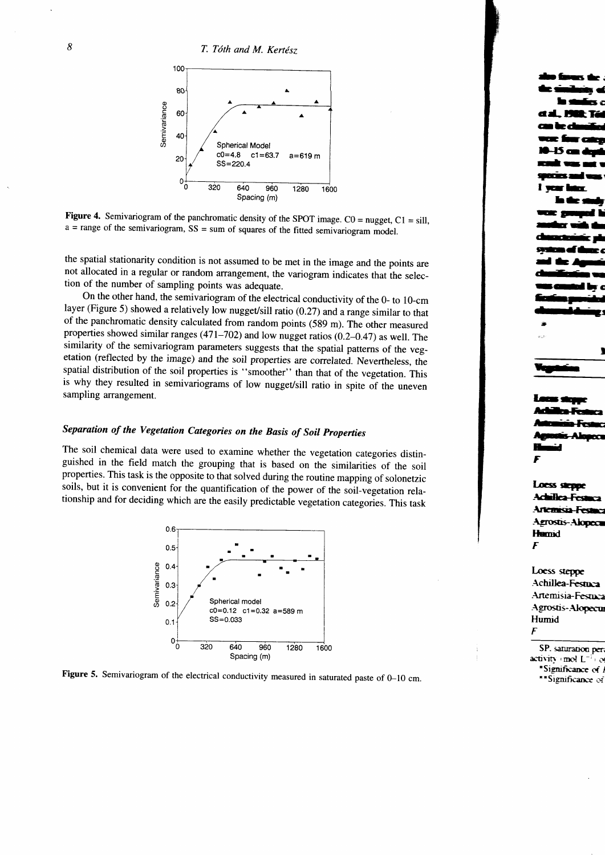T. Tóth and M. Kertész



Figure 4. Semivariogram of the panchromatic density of the SPOT image.  $C0 =$  nugget,  $C1 =$  sill,  $a = range of the semivariogram,  $SS = sum of squares of the fitted semivariogram model.$$ 

the spatial stationarity condition is not assumed to be met in the image and the points are not allocated in a regular or random arrangement, the variogram indicates that the selection of the number of sampling points was adequate.

On the other hand, the semivariogram of the electrical conductivity of the 0- to 10-cm layer (Figure 5) showed a relatively low nugget/sill ratio  $(0.27)$  and a range similar to that of the panchromatic density calculated from random points (589 m). The other measured properties showed similar ranges (471-702) and low nugget ratios (0.2-0.47) as well. The similarity of the semivariogram parameters suggests that the spatial patterns of the vegetation (reflected by the image) and the soil properties are correlated. Nevertheless, the spatial distribution of the soil properties is "smoother" than that of the vegetation. This is why they resulted in semivariograms of low nugget/sill ratio in spite of the uneven sampling arrangement.

## Separation of the Vegetation Categories on the Basis of Soil Properties

The soil chemical data were used to examine whether the vegetation categories distinguished in the field match the grouping that is based on the similarities of the soil properties. This task is the opposite to that solved during the routine mapping of solonetzic soils, but it is convenient for the quantification of the power of the soil-vegetation relationship and for deciding which are the easily predictable vegetation categories. This task





the fir ft: ún

bGs dl-n,1ia æl war f l0-15 cu each ( tEEdEtr | **ycer** |

h de war g \*rnL  $\bf{d}$ rytrdhc  $\blacksquare$ frm :d!ro bpHr du



Lee ftIt\*h IEHI-. Agnais-|H F

Loess ster **.Achillea-F**o Artemisia-Agrostis-Alopee Itomd F

Loess steppe Achillea-Festuca Artemisia-Festuca Agrostis-Alopecu Humid F

SP. saturation per activity  $\mod L^-$ \*Significance of / \*\*Significance of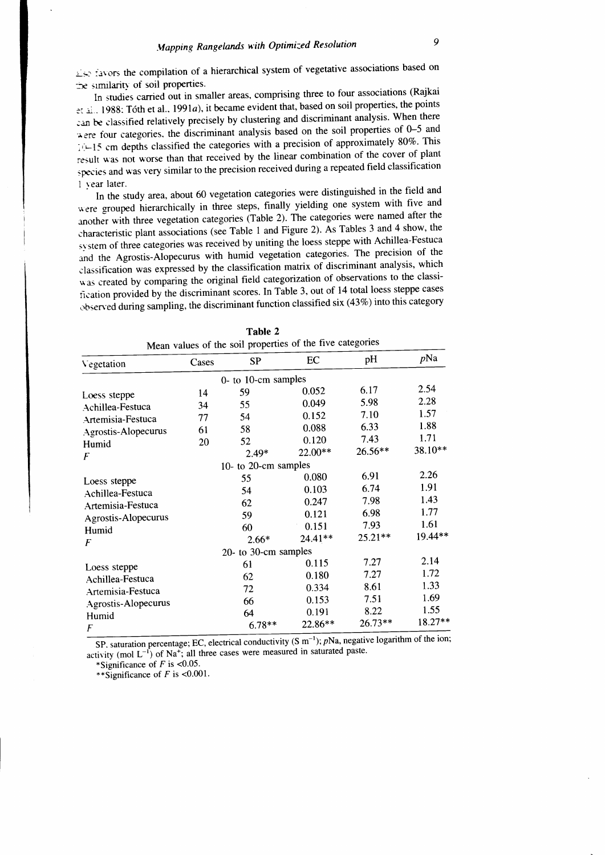tise favors the compilation of a hierarchical system of vegetative associations based on the similarity of soil properties.

In studies carried out in smaller areas, comprising three to four associations (Rajkai et al., 1988; Tóth et al., 1991a), it became evident that, based on soil properties, the points can be classified relatively precisely by clustering and discriminant analysis. When there were four categories, the discriminant analysis based on the soil properties of 0-5 and  $1.15$  cm depths classified the categories with a precision of approximately 80%. This result was not worse than that received by the linear combination of the cover of plant species and was very similar to the precision received during a repeated field classification 1 vear later.

In the study area, about 60 vegetation categories were distinguished in the field and were grouped hierarchically in three steps, finally yielding one system with five and another with three vegetation categories (Table 2). The categories were named after the characteristic plant associations (see Table 1 and Figure 2). As Tables 3 and 4 show, the system of three categories was received by uniting the loess steppe with Achillea-Festuca and the Agrostis-Alopecurus with humid vegetation categories. The precision of the classification was expressed by the classification matrix of discriminant analysis, which was created by comparing the original field categorization of observations to the classification provided by the discriminant scores. In Table 3, out of 14 total loess steppe cases observed during sampling, the discriminant function classified six (43%) into this category

| Mean values of the soil properties of the five categories |       |                      |         |           |           |  |  |
|-----------------------------------------------------------|-------|----------------------|---------|-----------|-----------|--|--|
| Vegetation                                                | Cases | SP                   | EC      | pH        | pNa       |  |  |
|                                                           |       | 0- to 10-cm samples  |         |           |           |  |  |
| Loess steppe                                              | 14    | 59                   | 0.052   | 6.17      | 2.54      |  |  |
| Achillea-Festuca                                          | 34    | 55                   | 0.049   | 5.98      | 2.28      |  |  |
| Artemisia-Festuca                                         | 77    | 54                   | 0.152   | 7.10      | 1.57      |  |  |
| Agrostis-Alopecurus                                       | 61    | 58                   | 0.088   | 6.33      | 1.88      |  |  |
| Humid                                                     | 20    | 52                   | 0.120   | 7.43      | 1.71      |  |  |
| F                                                         |       | $2.49*$              | 22.00** | $26.56**$ | 38.10**   |  |  |
|                                                           |       | 10- to 20-cm samples |         |           |           |  |  |
| Loess steppe                                              |       | 55                   | 0.080   | 6.91      | 2.26      |  |  |
| Achillea-Festuca                                          |       | 54                   | 0.103   | 6.74      | 1.91      |  |  |
| Artemisia-Festuca                                         |       | 62                   | 0.247   | 7.98      | 1.43      |  |  |
| Agrostis-Alopecurus                                       |       | 59                   | 0.121   | 6.98      | 1.77      |  |  |
| Humid                                                     |       | 60                   | 0.151   | 7.93      | 1.61      |  |  |
| F                                                         |       | $2.66*$              | 24.41** | $25.21**$ | $19.44**$ |  |  |
|                                                           |       | 20- to 30-cm samples |         |           |           |  |  |
| Loess steppe                                              |       | 61                   | 0.115   | 7.27      | 2.14      |  |  |
| Achillea-Festuca                                          |       | 62                   | 0.180   | 7.27      | 1.72      |  |  |
| Artemisia-Festuca                                         |       | 72                   | 0.334   | 8.61      | 1.33      |  |  |
| Agrostis-Alopecurus                                       |       | 66                   | 0.153   | 7.51      | 1.69      |  |  |
| Humid                                                     |       | 64                   | 0.191   | 8.22      | 1.55      |  |  |
| F                                                         |       | $6.78**$             | 22.86** | $26.73**$ | 18.27*    |  |  |

| Table 2 |  |  |
|---------|--|--|
|         |  |  |

SP, saturation percentage; EC, electrical conductivity  $(S\ \overline{m^{-1}})$ ;  $\overline{p}$ Na, negative logarithm of the ion; activity (mol  $L^{-1}$ ) of Na<sup>+</sup>; all three cases were measured in saturated paste.

\*Significance of  $F$  is <0.05.

\*\*Significance of F is <0.001.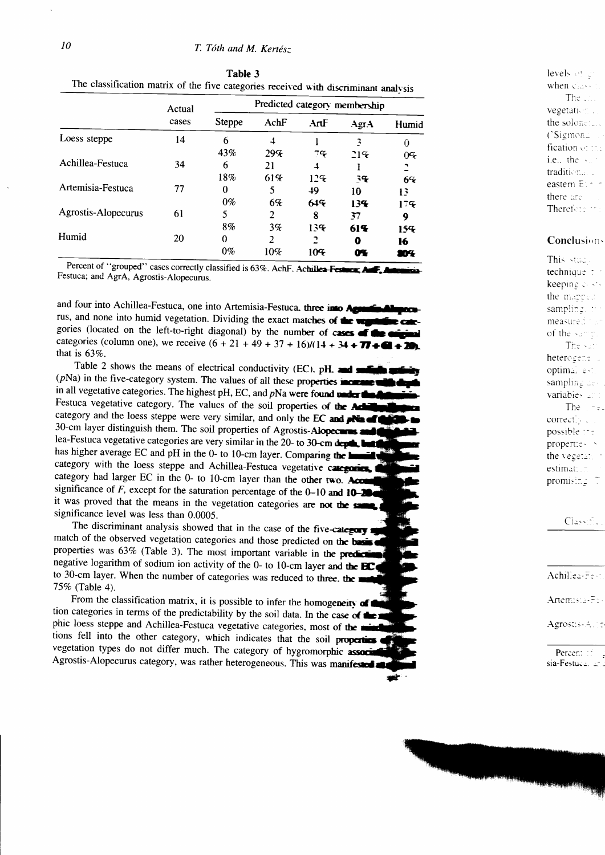|                     |                 |                               |       | ------- |       |                |
|---------------------|-----------------|-------------------------------|-------|---------|-------|----------------|
|                     | Actual<br>cases | Predicted category membership |       |         |       |                |
|                     |                 | <b>Steppe</b>                 | AchF  | ArF     | AnaA. | Humid          |
| Loess steppe        | 14              | 6                             |       |         | 3     |                |
|                     |                 | 43%                           | 29%   | 79      | 21%   | 0 <sub>r</sub> |
| Achillea-Festuca    | 34              | 6                             | 21    |         |       |                |
|                     |                 | 18%                           | 61%   | 129     | 34    | 6 <sup>q</sup> |
| Artemisia-Festuca   | 77              | 0                             | 5     | 49      | 10    | 13.            |
|                     |                 | $0\%$                         | 6%    | 644     | 13%   | 179            |
| Agrostis-Alopecurus | 61              | 5                             | 2     | 8       | 37    | 9              |
|                     |                 | 8%                            | $3\%$ | 139     | 61%   | 159            |
| Humid               | 20              | 0                             | 2     |         | o     | 16             |
|                     |                 | $0\%$                         | 10%   | 104     | 0%    | m4             |

Table 3 The classification matrix of the five categories received with discriminant analysis

Percent of "grouped" cases correctly classified is 63%. AchF. Achillea-Fester Festuca; and AgrA, Agrostis-Alopecurus.

and four into Achillea-Festuca, one into Artemisia-Festuca, three into Agentsia rus, and none into humid vegetation. Dividing the exact matches of the veg gories (located on the left-to-right diagonal) by the number of cases of the categories (column one), we receive  $(6 + 21 + 49 + 37 + 16)/(14 + 34 + 77 + 12)$ that is  $63\%$ .

Table 2 shows the means of electrical conductivity (EC), pH.  $\blacktriangleleft$  $(pNa)$  in the five-category system. The values of all these properties in all vegetative categories. The highest pH, EC, and  $p$ Na were found under  $\blacksquare$ Festuca vegetative category. The values of the soil properties of the Ad category and the loess steppe were very similar, and only the EC and planet 30-cm layer distinguish them. The soil properties of Agrostis-Alopecurus lea-Festuca vegetative categories are very similar in the 20- to 30-cm depth. has higher average EC and pH in the 0- to 10-cm layer. Comparing the category with the loess steppe and Achillea-Festuca vegetative categories. category had larger EC in the 0- to 10-cm layer than the other two. Acco significance of F, except for the saturation percentage of the  $0-10$  and 10-2 it was proved that the means in the vegetation categories are not the sa significance level was less than 0.0005.

The discriminant analysis showed that in the case of the five-category a match of the observed vegetation categories and those predicted on the base properties was  $63\%$  (Table 3). The most important variable in the predict negative logarithm of sodium ion activity of the 0- to 10-cm layer and the EC to 30-cm layer. When the number of categories was reduced to three. the 75% (Table 4).

From the classification matrix, it is possible to infer the homogeneity of tion categories in terms of the predictability by the soil data. In the case of phic loess steppe and Achillea-Festuca vegetative categories, most of the tions fell into the other category, which indicates that the soil properties vegetation types do not differ much. The category of hygromorphic associ Agrostis-Alopecurus category, was rather heterogeneous. This was manifested

levels of 2 when class to The Unit vegetation. the solonet... ('Sigmond fication of the i.e., the sa tradition... eastern E: - there are Therefore \*\*

### Conclusions

This stud technique: keeping costs the mapped sampling measure f of the samp The sur heterogene optimal est sampling devariables at The  $-z$ correctly and possible the properties is the vegetati estimat: .: promising T

#### Classific

Achillea-Fest

Artemista-Fe

Agrostis-Auto

Percent of sia-Festuca, an



10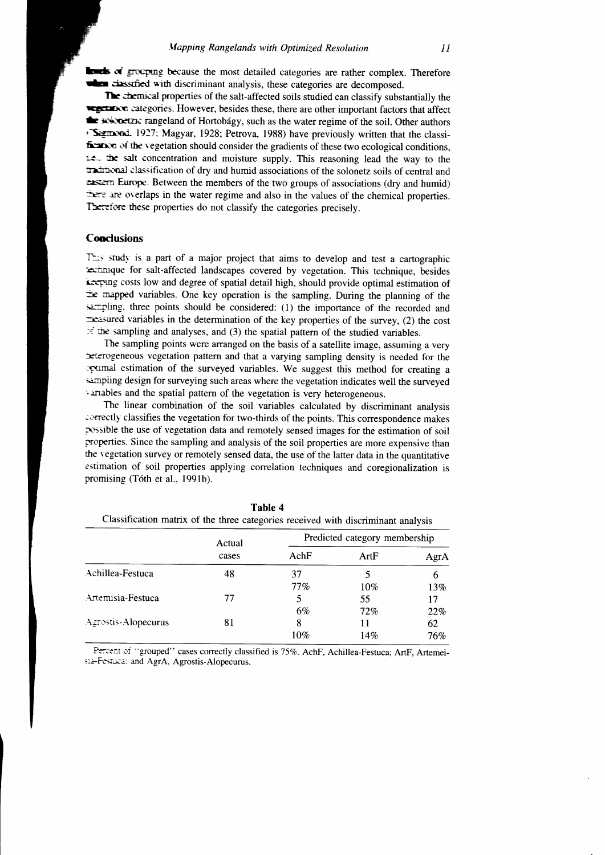**herets** of grouping because the most detailed categories are rather complex. Therefore **when classified with discriminant analysis, these categories are decomposed.** 

The chemical properties of the salt-affected soils studied can classify substantially the **ELENCO** categories. However, besides these, there are other important factors that affect the solution rangeland of Hortobágy, such as the water regime of the soil. Other authors **Segmond.** 1927: Magyar, 1928; Petrova, 1988) have previously written that the classifurther of the vegetation should consider the gradients of these two ecological conditions, 12. the salt concentration and moisture supply. This reasoning lead the way to the **EXAM** classification of dry and humid associations of the solonetz soils of central and extern Europe. Between the members of the two groups of associations (dry and humid) fuere are overlaps in the water regime and also in the values of the chemical properties. Therefore these properties do not classify the categories precisely.

#### **Conclusions**

This study is a part of a major project that aims to develop and test a cartographic extinal vegetation. This technique, besides keeping costs low and degree of spatial detail high, should provide optimal estimation of the mapped variables. One key operation is the sampling. During the planning of the seeming. three points should be considered: (1) the importance of the recorded and  $\equiv$ e $\equiv$ sured variables in the determination of the key properties of the survey, (2) the cost  $\mathbb{R}^d$  the sampling and analyses, and (3) the spatial pattern of the studied variables.

The sampling points were arranged on the basis of a satellite image, assuming a very **Example 1** Exerogeneous vegetation pattern and that a varying sampling density is needed for the :Frrrnal estimation of the surveyed variables. We suggest this method for creating a .mtpling design for surveying such areas where the vegetation indicates well the surveyed . anables and the spatial pattern of the vegetation is very heterogeneous.

The linear combination of the soil variables calculated by discriminant analysis correctly classifies the vegetation for two-thirds of the points. This correspondence makes possible the use of vegetation data and remotely sensed images for the estimation of soil Froperties. Since the sampling and analysis of the soil properties are more expensive than the vegetation survey or remotely sensed data, the use of the latter data in the quantitative estimation of soil properties applying correlation techniques and coregionalization is promising (T6th et al., 1991b).

| Classification matrix of the three categories received with discriminant analysis |                 |         | Predicted category membership |           |
|-----------------------------------------------------------------------------------|-----------------|---------|-------------------------------|-----------|
|                                                                                   | Actual<br>cases | AchF    | ArtF                          | AgrA      |
| Achillea-Festuca                                                                  | 48              | 37      |                               | 6         |
| Artemisia-Festuca                                                                 | 77              | $77\%$  | 10%<br>55                     | 13%<br>17 |
| Agreetis-Alopecurus                                                               | 81              | 6%<br>8 | 72%<br>11                     | 22%<br>62 |
|                                                                                   |                 | 10%     | 14%                           | 76%       |

Table 4

Percent of "grouped" cases correctly classified is 75%. AchF, Achillea-Festuca; ArtF, Artemeisia-Festuca: and AgrA, Agrostis-Alopecurus.